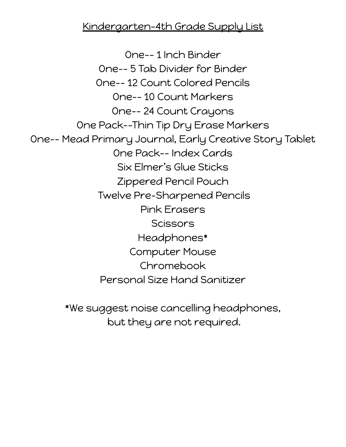## Kindergarten-4th Grade Supply List

One-- 1 Inch Binder One-- 5 Tab Divider for Binder One-- 12 Count Colored Pencils One-- 10 Count Markers One-- 24 Count Crayons One Pack--Thin Tip Dry Erase Markers One-- Mead Primary Journal, Early Creative Story Tablet One Pack-- Index Cards Six Elmer's Glue Sticks Zippered Pencil Pouch Twelve Pre-Sharpened Pencils Pink Erasers **Scissors** Headphones\* Computer Mouse Chromebook Personal Size Hand Sanitizer

> \*We suggest noise cancelling headphones, but they are not required.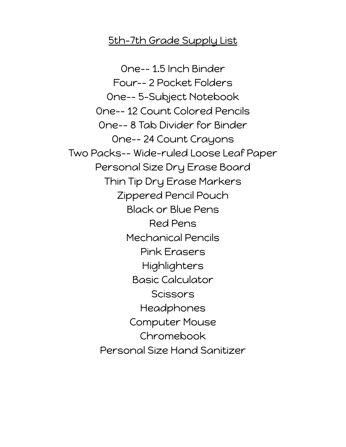## 5th-7th Grade Supply List

One-- 1.5 Inch Binder Four-- 2 Pocket Folders One-- 5-Subject Notebook One-- 12 Count Colored Pencils One-- 8 Tab Divider for Binder One-- 24 Count Crayons Two Packs-- Wide-ruled Loose Leaf Paper Personal Size Dry Erase Board Thin Tip Dry Erase Markers Zippered Pencil Pouch Black or Blue Pens Red Pens Mechanical Pencils Pink Erasers Highlighters Basic Calculator **Scissors** Headphones Computer Mouse Chromebook Personal Size Hand Sanitizer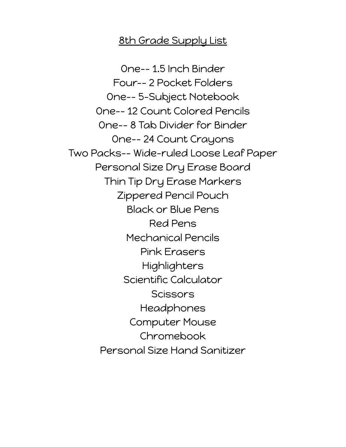## 8th Grade Supply List

One-- 1.5 Inch Binder Four-- 2 Pocket Folders One-- 5-Subject Notebook One-- 12 Count Colored Pencils One-- 8 Tab Divider for Binder One-- 24 Count Crayons Two Packs-- Wide-ruled Loose Leaf Paper Personal Size Dry Erase Board Thin Tip Dry Erase Markers Zippered Pencil Pouch Black or Blue Pens Red Pens Mechanical Pencils Pink Erasers Highlighters Scientific Calculator **Scissors** Headphones Computer Mouse Chromebook Personal Size Hand Sanitizer